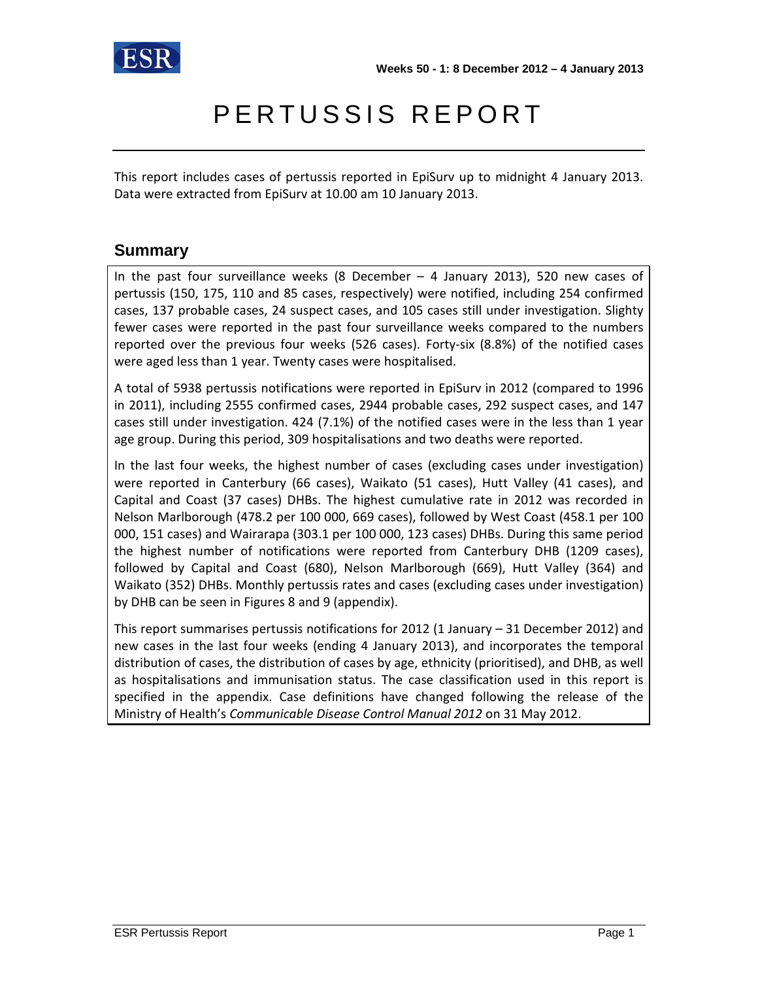

# PERTUSSIS REPORT

This report includes cases of pertussis reported in EpiSurv up to midnight 4 January 2013. Data were extracted from EpiSurv at 10.00 am 10 January 2013.

### **Summary**

In the past four surveillance weeks (8 December – 4 January 2013), 520 new cases of pertussis (150, 175, 110 and 85 cases, respectively) were notified, including 254 confirmed cases, 137 probable cases, 24 suspect cases, and 105 cases still under investigation. Slighty fewer cases were reported in the past four surveillance weeks compared to the numbers reported over the previous four weeks (526 cases). Forty-six (8.8%) of the notified cases were aged less than 1 year. Twenty cases were hospitalised.

A total of 5938 pertussis notifications were reported in EpiSurv in 2012 (compared to 1996 in 2011), including 2555 confirmed cases, 2944 probable cases, 292 suspect cases, and 147 cases still under investigation. 424 (7.1%) of the notified cases were in the less than 1 year age group. During this period, 309 hospitalisations and two deaths were reported.

In the last four weeks, the highest number of cases (excluding cases under investigation) were reported in Canterbury (66 cases), Waikato (51 cases), Hutt Valley (41 cases), and Capital and Coast (37 cases) DHBs. The highest cumulative rate in 2012 was recorded in Nelson Marlborough (478.2 per 100 000, 669 cases), followed by West Coast (458.1 per 100 000, 151 cases) and Wairarapa (303.1 per 100 000, 123 cases) DHBs. During this same period the highest number of notifications were reported from Canterbury DHB (1209 cases), followed by Capital and Coast (680), Nelson Marlborough (669), Hutt Valley (364) and Waikato (352) DHBs. Monthly pertussis rates and cases (excluding cases under investigation) by DHB can be seen in Figures 8 and 9 (appendix).

This report summarises pertussis notifications for 2012 (1 January – 31 December 2012) and new cases in the last four weeks (ending 4 January 2013), and incorporates the temporal distribution of cases, the distribution of cases by age, ethnicity (prioritised), and DHB, as well as hospitalisations and immunisation status. The case classification used in this report is specified in the appendix. Case definitions have changed following the release of the Ministry of Health's *Communicable Disease Control Manual 2012* on 31 May 2012.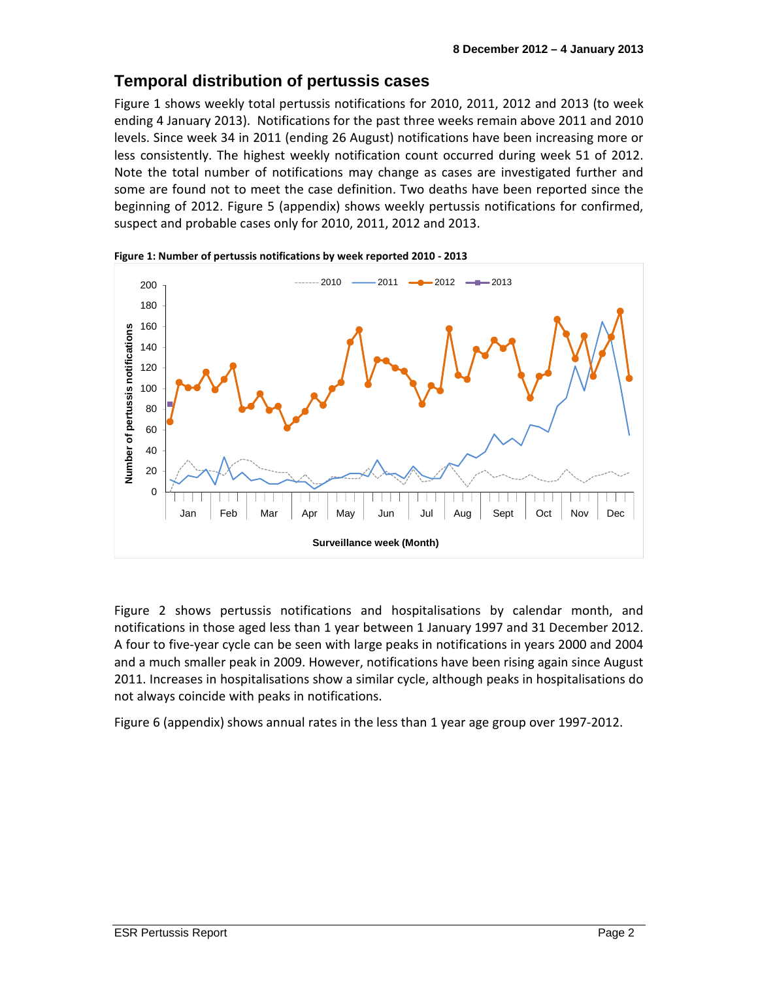### **Temporal distribution of pertussis cases**

Figure 1 shows weekly total pertussis notifications for 2010, 2011, 2012 and 2013 (to week ending 4 January 2013). Notifications for the past three weeks remain above 2011 and 2010 levels. Since week 34 in 2011 (ending 26 August) notifications have been increasing more or less consistently. The highest weekly notification count occurred during week 51 of 2012. Note the total number of notifications may change as cases are investigated further and some are found not to meet the case definition. Two deaths have been reported since the beginning of 2012. Figure 5 (appendix) shows weekly pertussis notifications for confirmed, suspect and probable cases only for 2010, 2011, 2012 and 2013.





Figure 2 shows pertussis notifications and hospitalisations by calendar month, and notifications in those aged less than 1 year between 1 January 1997 and 31 December 2012. A four to five-year cycle can be seen with large peaks in notifications in years 2000 and 2004 and a much smaller peak in 2009. However, notifications have been rising again since August 2011. Increases in hospitalisations show a similar cycle, although peaks in hospitalisations do not always coincide with peaks in notifications.

Figure 6 (appendix) shows annual rates in the less than 1 year age group over 1997-2012.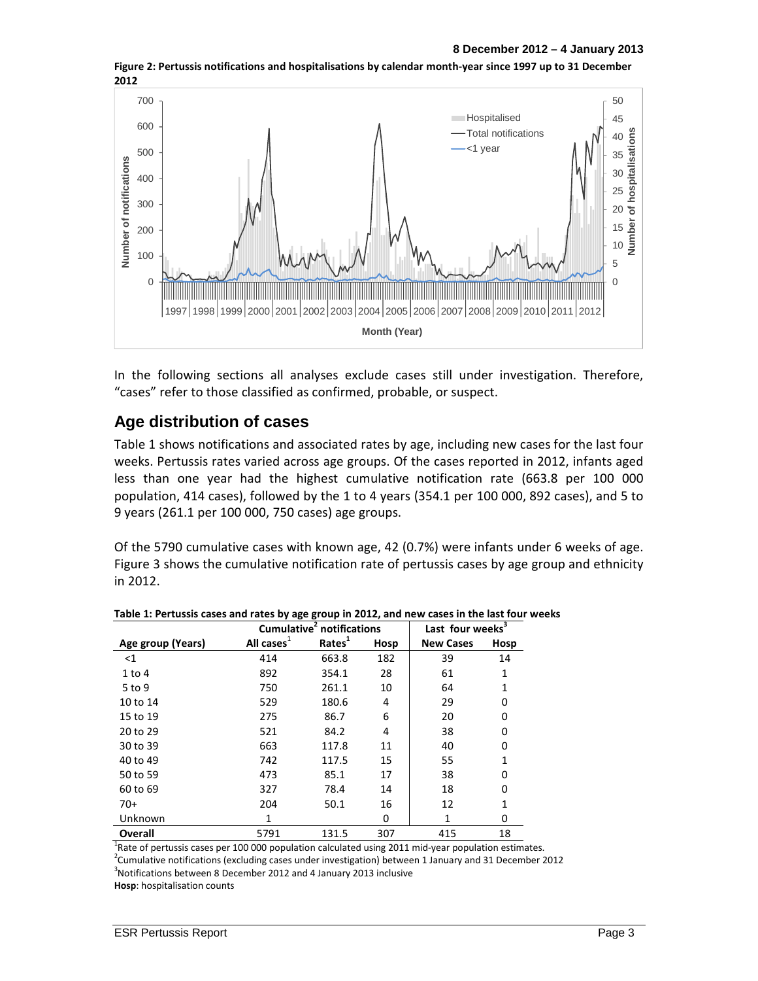

**Figure 2: Pertussis notifications and hospitalisations by calendar month-year since 1997 up to 31 December 2012** 

In the following sections all analyses exclude cases still under investigation. Therefore, "cases" refer to those classified as confirmed, probable, or suspect.

#### **Age distribution of cases**

Table 1 shows notifications and associated rates by age, including new cases for the last four weeks. Pertussis rates varied across age groups. Of the cases reported in 2012, infants aged less than one year had the highest cumulative notification rate (663.8 per 100 000 population, 414 cases), followed by the 1 to 4 years (354.1 per 100 000, 892 cases), and 5 to 9 years (261.1 per 100 000, 750 cases) age groups.

Of the 5790 cumulative cases with known age, 42 (0.7%) were infants under 6 weeks of age. Figure 3 shows the cumulative notification rate of pertussis cases by age group and ethnicity in 2012.

|                   |               | Cumulative <sup>2</sup> notifications | Last four weeks $3$ |                  |      |
|-------------------|---------------|---------------------------------------|---------------------|------------------|------|
| Age group (Years) | All cases $1$ | Rates <sup>1</sup>                    | Hosp                | <b>New Cases</b> | Hosp |
| $<$ 1             | 414           | 663.8                                 | 182                 | 39               | 14   |
| $1$ to $4$        | 892           | 354.1                                 | 28                  | 61               | 1    |
| $5$ to 9          | 750           | 261.1                                 | 10                  | 64               | 1    |
| 10 to 14          | 529           | 180.6                                 | 4                   | 29               | 0    |
| 15 to 19          | 275           | 86.7                                  | 6                   | 20               | 0    |
| 20 to 29          | 521           | 84.2                                  | 4                   | 38               | 0    |
| 30 to 39          | 663           | 117.8                                 | 11                  | 40               | 0    |
| 40 to 49          | 742           | 117.5                                 | 15                  | 55               | 1    |
| 50 to 59          | 473           | 85.1                                  | 17                  | 38               | 0    |
| 60 to 69          | 327           | 78.4                                  | 14                  | 18               | 0    |
| $70+$             | 204           | 50.1                                  | 16                  | 12               | 1    |
| Unknown           | 1             |                                       | 0                   | $\mathbf{1}$     | 0    |
| Overall           | 5791          | 131.5                                 | 307                 | 415              | 18   |

**Table 1: Pertussis cases and rates by age group in 2012, and new cases in the last four weeks** 

<sup>1</sup>Rate of pertussis cases per 100 000 population calculated using 2011 mid-year population estimates.

<sup>2</sup>Cumulative notifications (excluding cases under investigation) between 1 January and 31 December 2012

3 Notifications between 8 December 2012 and 4 January 2013 inclusive

**Hosp**: hospitalisation counts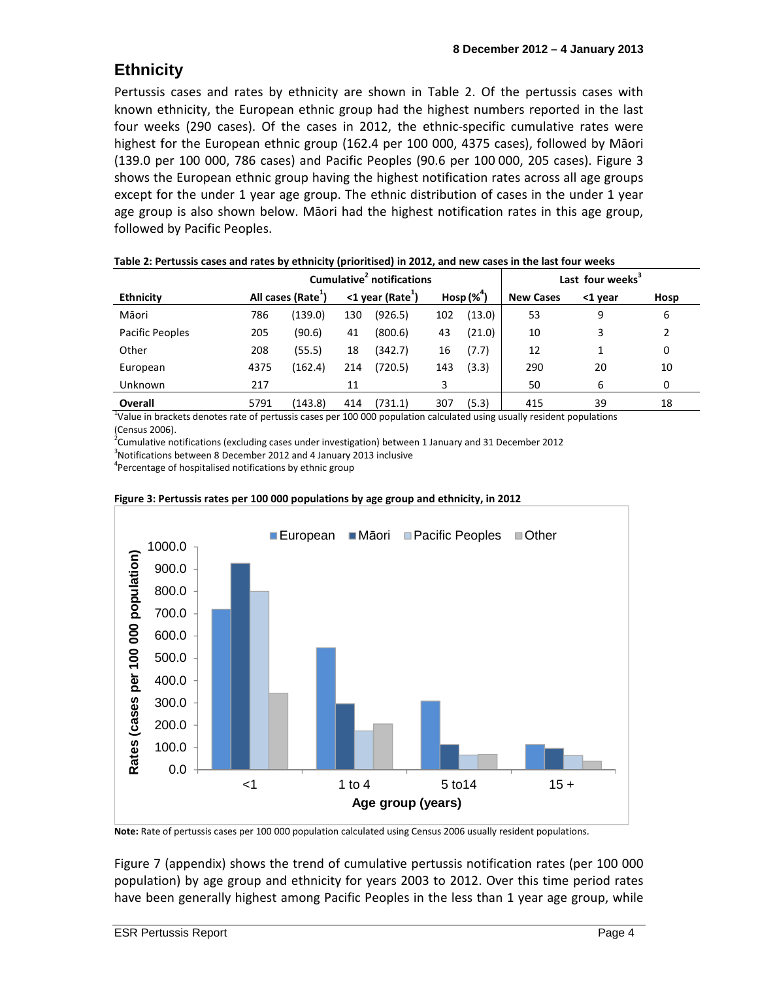# **Ethnicity**

Pertussis cases and rates by ethnicity are shown in Table 2. Of the pertussis cases with known ethnicity, the European ethnic group had the highest numbers reported in the last four weeks (290 cases). Of the cases in 2012, the ethnic-specific cumulative rates were highest for the European ethnic group (162.4 per 100 000, 4375 cases), followed by Māori (139.0 per 100 000, 786 cases) and Pacific Peoples (90.6 per 100 000, 205 cases). Figure 3 shows the European ethnic group having the highest notification rates across all age groups except for the under 1 year age group. The ethnic distribution of cases in the under 1 year age group is also shown below. Māori had the highest notification rates in this age group, followed by Pacific Peoples.

| Cumulative notifications |      |                                |                                 |         |               |        |                  | Last four weeks <sup>3</sup> |      |  |  |
|--------------------------|------|--------------------------------|---------------------------------|---------|---------------|--------|------------------|------------------------------|------|--|--|
| <b>Ethnicity</b>         |      | All cases (Rate <sup>1</sup> ) | $<$ 1 year (Rate <sup>1</sup> ) |         | Hosp $(\%^4)$ |        | <b>New Cases</b> | <1 year                      | Hosp |  |  |
| Māori                    | 786  | (139.0)                        | 130                             | (926.5) | 102           | (13.0) | 53               | 9                            | 6    |  |  |
| Pacific Peoples          | 205  | (90.6)                         | 41                              | (800.6) | 43            | (21.0) | 10               | 3                            | 2    |  |  |
| Other                    | 208  | (55.5)                         | 18                              | (342.7) | 16            | (7.7)  | 12               |                              | 0    |  |  |
| European                 | 4375 | (162.4)                        | 214                             | (720.5) | 143           | (3.3)  | 290              | 20                           | 10   |  |  |
| Unknown                  | 217  |                                | 11                              |         | 3             |        | 50               | 6                            | 0    |  |  |
| Overall                  | 5791 | (143.8)                        | 414                             | (731.1) | 307           | (5.3)  | 415              | 39                           | 18   |  |  |

| Table 2: Pertussis cases and rates by ethnicity (prioritised) in 2012, and new cases in the last four weeks |  |
|-------------------------------------------------------------------------------------------------------------|--|
|-------------------------------------------------------------------------------------------------------------|--|

<sup>1</sup>Value in brackets denotes rate of pertussis cases per 100 000 population calculated using usually resident populations (Census 2006).

 $2$ Cumulative notifications (excluding cases under investigation) between 1 January and 31 December 2012

3 Notifications between 8 December 2012 and 4 January 2013 inclusive

<sup>4</sup> Percentage of hospitalised notifications by ethnic group



#### **Figure 3: Pertussis rates per 100 000 populations by age group and ethnicity, in 2012**

**Note:** Rate of pertussis cases per 100 000 population calculated using Census 2006 usually resident populations.

Figure 7 (appendix) shows the trend of cumulative pertussis notification rates (per 100 000 population) by age group and ethnicity for years 2003 to 2012. Over this time period rates have been generally highest among Pacific Peoples in the less than 1 year age group, while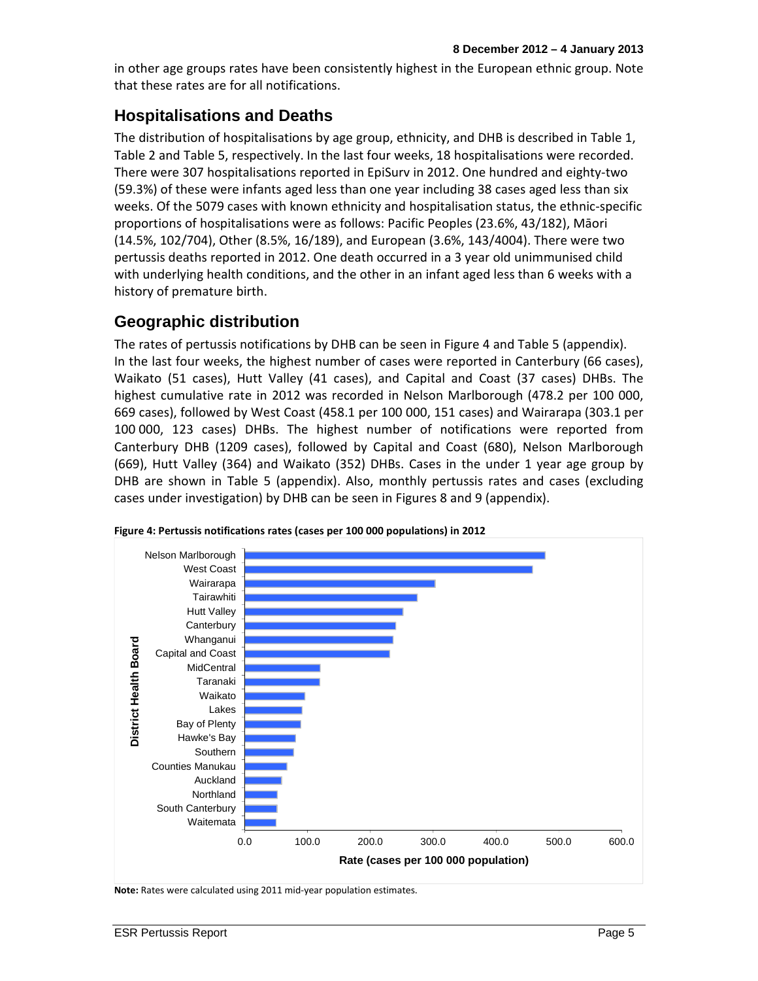in other age groups rates have been consistently highest in the European ethnic group. Note that these rates are for all notifications.

## **Hospitalisations and Deaths**

The distribution of hospitalisations by age group, ethnicity, and DHB is described in Table 1, Table 2 and Table 5, respectively. In the last four weeks, 18 hospitalisations were recorded. There were 307 hospitalisations reported in EpiSurv in 2012. One hundred and eighty-two (59.3%) of these were infants aged less than one year including 38 cases aged less than six weeks. Of the 5079 cases with known ethnicity and hospitalisation status, the ethnic-specific proportions of hospitalisations were as follows: Pacific Peoples (23.6%, 43/182), Māori (14.5%, 102/704), Other (8.5%, 16/189), and European (3.6%, 143/4004). There were two pertussis deaths reported in 2012. One death occurred in a 3 year old unimmunised child with underlying health conditions, and the other in an infant aged less than 6 weeks with a history of premature birth.

### **Geographic distribution**

The rates of pertussis notifications by DHB can be seen in Figure 4 and Table 5 (appendix). In the last four weeks, the highest number of cases were reported in Canterbury (66 cases), Waikato (51 cases), Hutt Valley (41 cases), and Capital and Coast (37 cases) DHBs. The highest cumulative rate in 2012 was recorded in Nelson Marlborough (478.2 per 100 000, 669 cases), followed by West Coast (458.1 per 100 000, 151 cases) and Wairarapa (303.1 per 100 000, 123 cases) DHBs. The highest number of notifications were reported from Canterbury DHB (1209 cases), followed by Capital and Coast (680), Nelson Marlborough (669), Hutt Valley (364) and Waikato (352) DHBs. Cases in the under 1 year age group by DHB are shown in Table 5 (appendix). Also, monthly pertussis rates and cases (excluding cases under investigation) by DHB can be seen in Figures 8 and 9 (appendix).



**Figure 4: Pertussis notifications rates (cases per 100 000 populations) in 2012** 

**Note:** Rates were calculated using 2011 mid-year population estimates.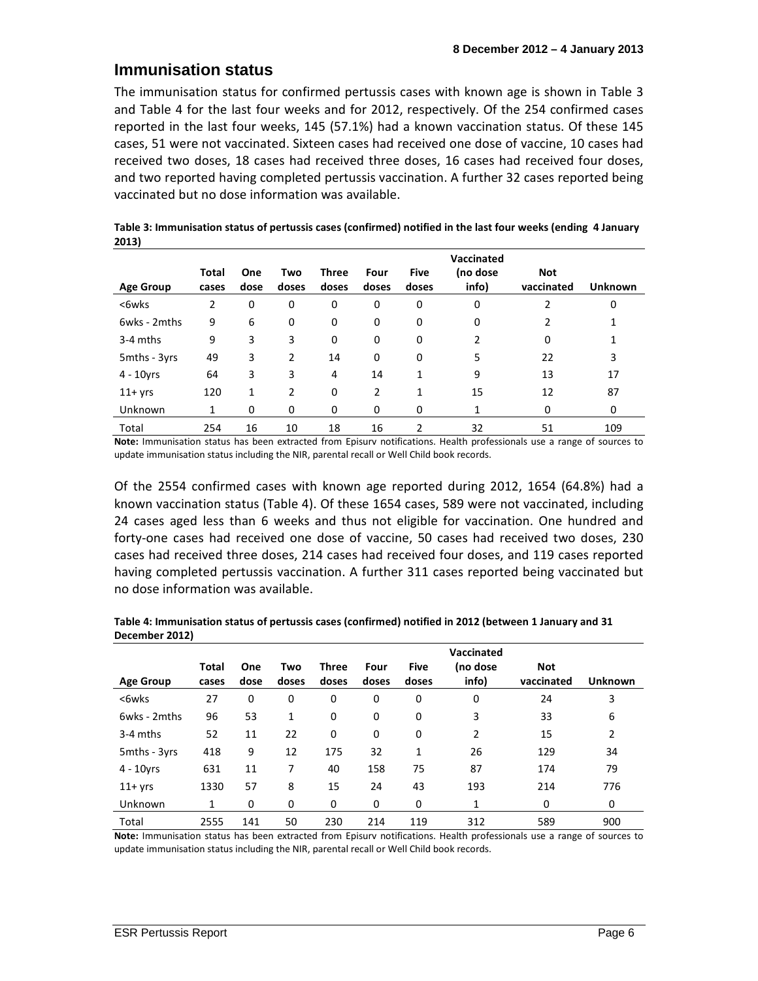#### **Immunisation status**

The immunisation status for confirmed pertussis cases with known age is shown in Table 3 and Table 4 for the last four weeks and for 2012, respectively. Of the 254 confirmed cases reported in the last four weeks, 145 (57.1%) had a known vaccination status. Of these 145 cases, 51 were not vaccinated. Sixteen cases had received one dose of vaccine, 10 cases had received two doses, 18 cases had received three doses, 16 cases had received four doses, and two reported having completed pertussis vaccination. A further 32 cases reported being vaccinated but no dose information was available.

|                  | Total          | One  | Two            | <b>Three</b> | Four     | <b>Five</b>  | Vaccinated<br>(no dose | <b>Not</b> |                |
|------------------|----------------|------|----------------|--------------|----------|--------------|------------------------|------------|----------------|
| <b>Age Group</b> | cases          | dose | doses          | doses        | doses    | doses        | info)                  | vaccinated | <b>Unknown</b> |
| <6wks            | $\overline{2}$ | 0    | 0              | 0            | 0        | 0            | 0                      | 2          | 0              |
| 6wks - 2mths     | 9              | 6    | 0              | 0            | 0        | 0            | 0                      | 2          | 1              |
| 3-4 mths         | 9              | 3    | 3              | 0            | 0        | 0            | 2                      | 0          | 1              |
| 5mths - 3yrs     | 49             | 3    | $\overline{2}$ | 14           | $\Omega$ | 0            | 5                      | 22         | 3              |
| $4 - 10$ yrs     | 64             | 3    | 3              | 4            | 14       | $\mathbf{1}$ | 9                      | 13         | 17             |
| $11+$ yrs        | 120            | 1    | $\overline{2}$ | $\Omega$     | 2        | 1            | 15                     | 12         | 87             |
| Unknown          | 1              | 0    | 0              | 0            | 0        | 0            | 1                      | 0          | 0              |
| Total            | 254            | 16   | 10             | 18           | 16       | 2            | 32                     | 51         | 109            |

| Table 3: Immunisation status of pertussis cases (confirmed) notified in the last four weeks (ending 4 January |  |
|---------------------------------------------------------------------------------------------------------------|--|
| 2013)                                                                                                         |  |

**Note:** Immunisation status has been extracted from Episurv notifications. Health professionals use a range of sources to update immunisation status including the NIR, parental recall or Well Child book records.

Of the 2554 confirmed cases with known age reported during 2012, 1654 (64.8%) had a known vaccination status (Table 4). Of these 1654 cases, 589 were not vaccinated, including 24 cases aged less than 6 weeks and thus not eligible for vaccination. One hundred and forty-one cases had received one dose of vaccine, 50 cases had received two doses, 230 cases had received three doses, 214 cases had received four doses, and 119 cases reported having completed pertussis vaccination. A further 311 cases reported being vaccinated but no dose information was available.

|                  |       |      |       |              |       |             | Vaccinated |            |                |
|------------------|-------|------|-------|--------------|-------|-------------|------------|------------|----------------|
|                  | Total | One  | Two   | <b>Three</b> | Four  | <b>Five</b> | (no dose   | <b>Not</b> |                |
| <b>Age Group</b> | cases | dose | doses | doses        | doses | doses       | info)      | vaccinated | <b>Unknown</b> |
| <6wks            | 27    | 0    | 0     | 0            | 0     | 0           | 0          | 24         | 3              |
| 6wks - 2mths     | 96    | 53   | 1     | 0            | 0     | 0           | 3          | 33         | 6              |
| 3-4 mths         | 52    | 11   | 22    | 0            | 0     | 0           | 2          | 15         | 2              |
| 5mths - 3yrs     | 418   | 9    | 12    | 175          | 32    | 1           | 26         | 129        | 34             |
| $4 - 10$ yrs     | 631   | 11   | 7     | 40           | 158   | 75          | 87         | 174        | 79             |
| $11+$ yrs        | 1330  | 57   | 8     | 15           | 24    | 43          | 193        | 214        | 776            |
| Unknown          | 1     | 0    | 0     | 0            | 0     | 0           | 1          | 0          | 0              |
| Total            | 2555  | 141  | 50    | 230          | 214   | 119         | 312        | 589        | 900            |

**Table 4: Immunisation status of pertussis cases (confirmed) notified in 2012 (between 1 January and 31 December 2012)** 

**Note:** Immunisation status has been extracted from Episurv notifications. Health professionals use a range of sources to update immunisation status including the NIR, parental recall or Well Child book records.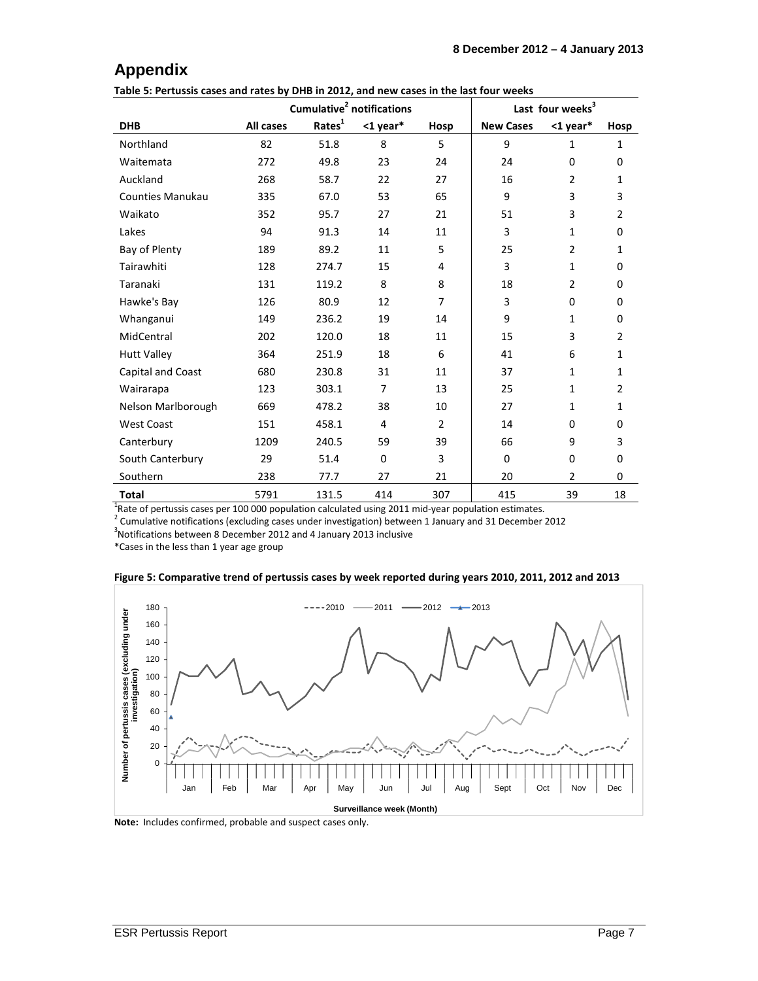## **Appendix**

**Table 5: Pertussis cases and rates by DHB in 2012, and new cases in the last four weeks** 

|                    |           |                    | Cumulative <sup>2</sup> notifications |                |                  | Last four weeks <sup>3</sup> |                |
|--------------------|-----------|--------------------|---------------------------------------|----------------|------------------|------------------------------|----------------|
| <b>DHB</b>         | All cases | Rates <sup>1</sup> | <1 year*                              | Hosp           | <b>New Cases</b> | $1$ year*                    | Hosp           |
| Northland          | 82        | 51.8               | 8                                     | 5              | 9                | $\mathbf{1}$                 | $\mathbf{1}$   |
| Waitemata          | 272       | 49.8               | 23                                    | 24             | 24               | $\mathbf 0$                  | 0              |
| Auckland           | 268       | 58.7               | 22                                    | 27             | 16               | $\overline{2}$               | $\mathbf{1}$   |
| Counties Manukau   | 335       | 67.0               | 53                                    | 65             | 9                | 3                            | 3              |
| Waikato            | 352       | 95.7               | 27                                    | 21             | 51               | 3                            | $\overline{2}$ |
| Lakes              | 94        | 91.3               | 14                                    | 11             | 3                | $\mathbf{1}$                 | 0              |
| Bay of Plenty      | 189       | 89.2               | 11                                    | 5              | 25               | $\overline{2}$               | $\mathbf{1}$   |
| Tairawhiti         | 128       | 274.7              | 15                                    | 4              | 3                | $\mathbf{1}$                 | 0              |
| Taranaki           | 131       | 119.2              | 8                                     | 8              | 18               | $\overline{2}$               | 0              |
| Hawke's Bay        | 126       | 80.9               | 12                                    | $\overline{7}$ | 3                | $\Omega$                     | 0              |
| Whanganui          | 149       | 236.2              | 19                                    | 14             | 9                | $\mathbf{1}$                 | $\Omega$       |
| MidCentral         | 202       | 120.0              | 18                                    | 11             | 15               | 3                            | $\overline{2}$ |
| <b>Hutt Valley</b> | 364       | 251.9              | 18                                    | 6              | 41               | 6                            | $\mathbf{1}$   |
| Capital and Coast  | 680       | 230.8              | 31                                    | 11             | 37               | $\mathbf{1}$                 | $\mathbf{1}$   |
| Wairarapa          | 123       | 303.1              | $\overline{7}$                        | 13             | 25               | $\mathbf{1}$                 | $\overline{2}$ |
| Nelson Marlborough | 669       | 478.2              | 38                                    | 10             | 27               | $\mathbf{1}$                 | $\mathbf{1}$   |
| <b>West Coast</b>  | 151       | 458.1              | 4                                     | $\overline{2}$ | 14               | $\Omega$                     | 0              |
| Canterbury         | 1209      | 240.5              | 59                                    | 39             | 66               | 9                            | 3              |
| South Canterbury   | 29        | 51.4               | 0                                     | 3              | $\Omega$         | $\Omega$                     | $\mathbf 0$    |
| Southern           | 238       | 77.7               | 27                                    | 21             | 20               | $\overline{2}$               | 0              |
| <b>Total</b>       | 5791      | 131.5              | 414                                   | 307            | 415              | 39                           | 18             |

 $^{1}$ Rate of pertussis cases per 100 000 population calculated using 2011 mid-year population estimates.

<sup>2</sup> Cumulative notifications (excluding cases under investigation) between 1 January and 31 December 2012

<sup>3</sup>Notifications between 8 December 2012 and 4 January 2013 inclusive

\*Cases in the less than 1 year age group





**Note:** Includes confirmed, probable and suspect cases only.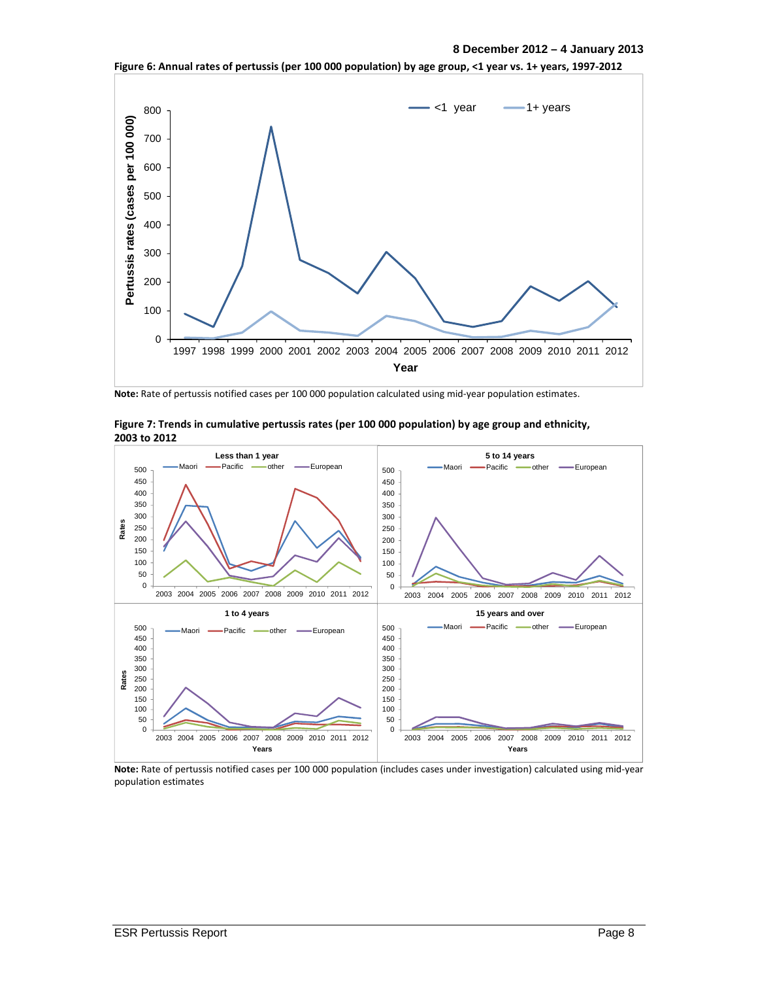#### **8 December 2012 – 4 January 2013**



**Figure 6: Annual rates of pertussis (per 100 000 population) by age group, <1 year vs. 1+ years, 1997-2012** 

**Note:** Rate of pertussis notified cases per 100 000 population calculated using mid-year population estimates.



**Figure 7: Trends in cumulative pertussis rates (per 100 000 population) by age group and ethnicity, 2003 to 2012** 

**Note:** Rate of pertussis notified cases per 100 000 population (includes cases under investigation) calculated using mid-year population estimates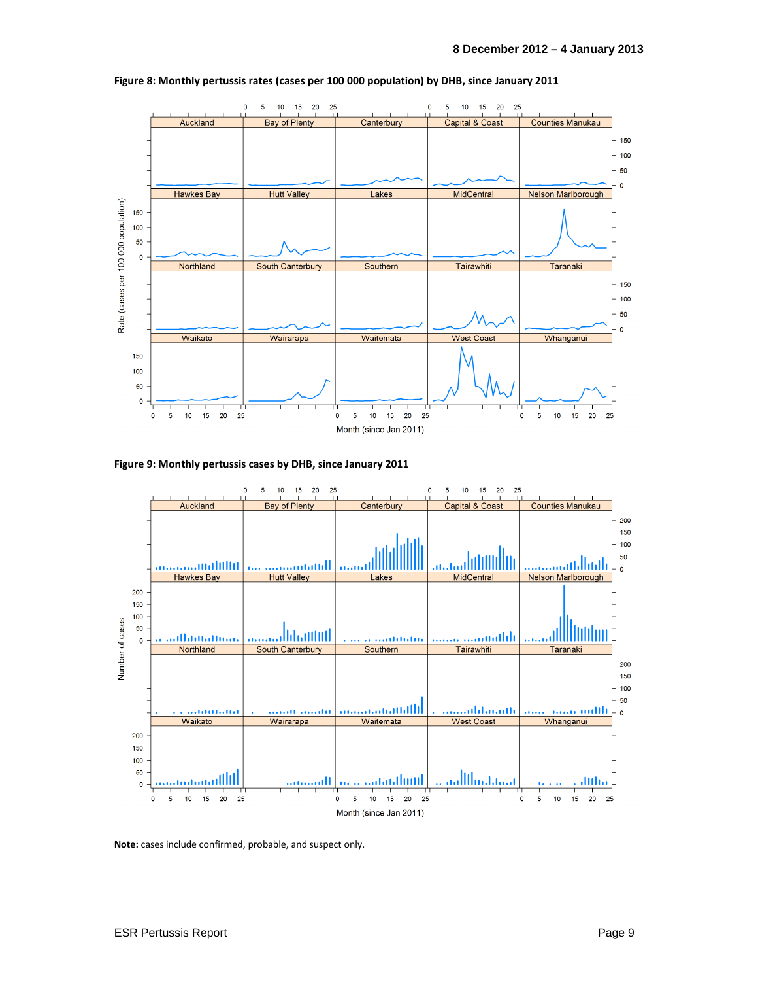

**Figure 8: Monthly pertussis rates (cases per 100 000 population) by DHB, since January 2011** 





**Note:** cases include confirmed, probable, and suspect only.